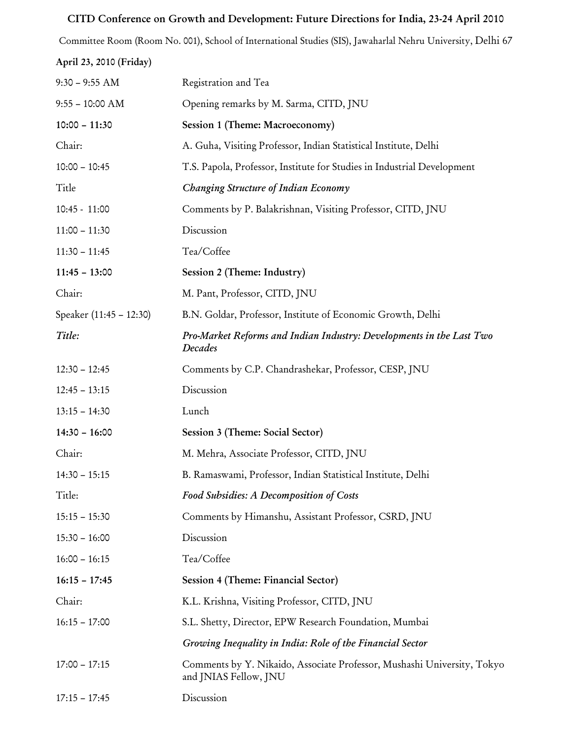## CITD Conference on Growth and Development: Future Directions for India, 23-24 April 2010

Committee Room (Room No. 001), School of International Studies (SIS), Jawaharlal Nehru University, Delhi 67 April 23, 2010 (Friday)

| $9:30 - 9:55$ AM        | Registration and Tea                                                                             |
|-------------------------|--------------------------------------------------------------------------------------------------|
| $9:55 - 10:00$ AM       | Opening remarks by M. Sarma, CITD, JNU                                                           |
| $10:00 - 11:30$         | Session 1 (Theme: Macroeconomy)                                                                  |
| Chair:                  | A. Guha, Visiting Professor, Indian Statistical Institute, Delhi                                 |
| $10:00 - 10:45$         | T.S. Papola, Professor, Institute for Studies in Industrial Development                          |
| Title                   | Changing Structure of Indian Economy                                                             |
| $10:45 - 11:00$         | Comments by P. Balakrishnan, Visiting Professor, CITD, JNU                                       |
| $11:00 - 11:30$         | Discussion                                                                                       |
| $11:30 - 11:45$         | Tea/Coffee                                                                                       |
| $11:45 - 13:00$         | Session 2 (Theme: Industry)                                                                      |
| Chair:                  | M. Pant, Professor, CITD, JNU                                                                    |
| Speaker (11:45 - 12:30) | B.N. Goldar, Professor, Institute of Economic Growth, Delhi                                      |
| Title:                  | Pro-Market Reforms and Indian Industry: Developments in the Last Two<br>Decades                  |
| $12:30 - 12:45$         | Comments by C.P. Chandrashekar, Professor, CESP, JNU                                             |
| $12:45 - 13:15$         | Discussion                                                                                       |
| $13:15 - 14:30$         | Lunch                                                                                            |
| $14:30 - 16:00$         | Session 3 (Theme: Social Sector)                                                                 |
| Chair:                  | M. Mehra, Associate Professor, CITD, JNU                                                         |
| $14:30 - 15:15$         | B. Ramaswami, Professor, Indian Statistical Institute, Delhi                                     |
| Title:                  | Food Subsidies: A Decomposition of Costs                                                         |
| $15:15 - 15:30$         | Comments by Himanshu, Assistant Professor, CSRD, JNU                                             |
| $15:30 - 16:00$         | Discussion                                                                                       |
| $16:00 - 16:15$         | Tea/Coffee                                                                                       |
| $16:15 - 17:45$         | Session 4 (Theme: Financial Sector)                                                              |
| Chair:                  | K.L. Krishna, Visiting Professor, CITD, JNU                                                      |
| $16:15 - 17:00$         | S.L. Shetty, Director, EPW Research Foundation, Mumbai                                           |
|                         | Growing Inequality in India: Role of the Financial Sector                                        |
| $17:00 - 17:15$         | Comments by Y. Nikaido, Associate Professor, Mushashi University, Tokyo<br>and JNIAS Fellow, JNU |
| $17:15 - 17:45$         | Discussion                                                                                       |